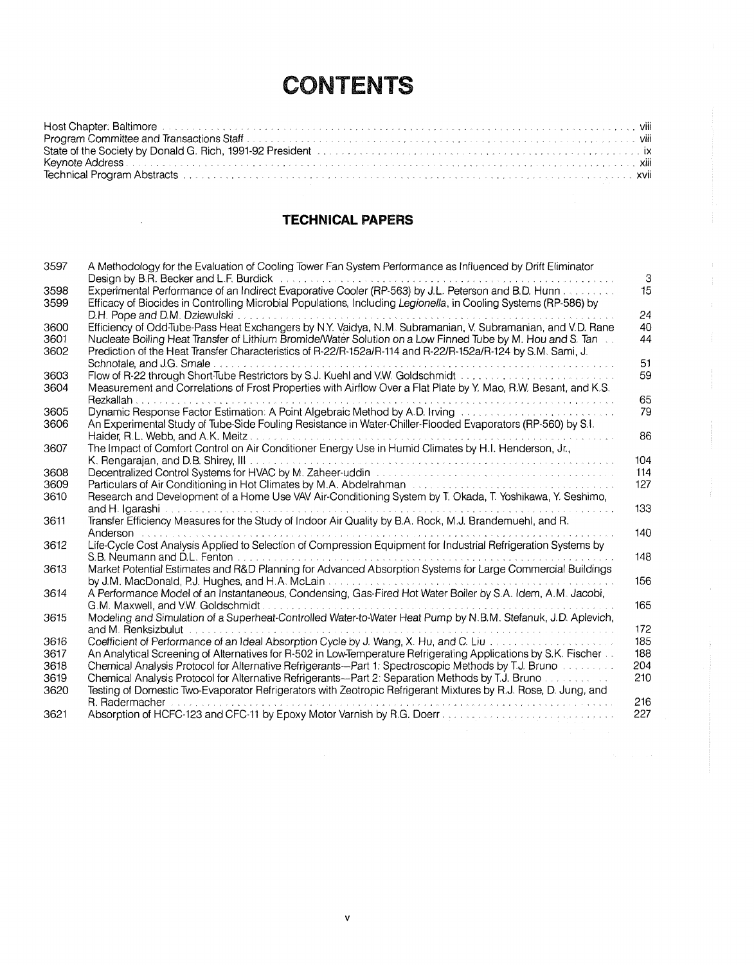## **CONTENTS**

| State of the Society by Donald G. Rich, 1991-92 President Allen All Allen Constitution Construction Constitution City |  |
|-----------------------------------------------------------------------------------------------------------------------|--|
|                                                                                                                       |  |
|                                                                                                                       |  |

## **TECHNICAL PAPERS**

| 3597 | A Methodology for the Evaluation of Cooling Tower Fan System Performance as Influenced by Drift Eliminator<br>Design by B.R. Becker and L.F. Burdick | 3   |
|------|------------------------------------------------------------------------------------------------------------------------------------------------------|-----|
| 3598 | Experimental Performance of an Indirect Evaporative Cooler (RP-563) by J.L. Peterson and B.D. Hunn                                                   | 15  |
| 3599 | Efficacy of Biocides in Controlling Microbial Populations, Including Legionella, in Cooling Systems (RP-586) by                                      |     |
|      | D.H. Pope and D.M. Dziewulski                                                                                                                        | 24  |
| 3600 | Efficiency of Odd-Tube-Pass Heat Exchangers by N.Y. Vaidya, N.M. Subramanian, V. Subramanian, and V.D. Rane                                          | 40  |
| 3601 | Nucleate Boiling Heat Transfer of Lithium Bromide/Water Solution on a Low Finned Tube by M. Hou and S. Tan                                           | 44  |
| 3602 | Prediction of the Heat Transfer Characteristics of R-22/R-152a/R-114 and R-22/R-152a/R-124 by S.M. Sami, J.                                          |     |
|      | Schnotale, and J.G. Smale                                                                                                                            | 51  |
| 3603 | Flow of R-22 through Short-Tube Restrictors by S.J. Kuehl and V.W. Goldschmidt                                                                       | 59  |
| 3604 | Measurement and Correlations of Frost Properties with Airflow Over a Flat Plate by Y. Mao, R.W. Besant, and K.S.                                     |     |
|      | Rezkallah.                                                                                                                                           | 65  |
| 3605 |                                                                                                                                                      | 79  |
| 3606 | An Experimental Study of Tube-Side Fouling Resistance in Water-Chiller-Flooded Evaporators (RP-560) by S.I.                                          |     |
|      | Haider, R.L. Webb, and A.K. Meitz.                                                                                                                   | 86  |
| 3607 | The Impact of Comfort Control on Air Conditioner Energy Use in Humid Climates by H.I. Henderson, Jr.,                                                |     |
|      | K. Rengaraian, and D.B. Shirey, III                                                                                                                  | 104 |
| 3608 | Decentralized Control Systems for HVAC by M. Zaheer-uddin www.www.www.www.www.www.ww                                                                 | 114 |
| 3609 | Particulars of Air Conditioning in Hot Climates by M.A. Abdelrahman Automas Assessment Constitution of Air Conditioning                              | 127 |
| 3610 | Research and Development of a Home Use VAV Air-Conditioning System by T. Okada, T. Yoshikawa, Y. Seshimo,                                            |     |
|      |                                                                                                                                                      | 133 |
| 3611 | Transfer Efficiency Measures for the Study of Indoor Air Quality by B.A. Rock, M.J. Brandemuehl, and R.                                              |     |
|      | Anderson                                                                                                                                             | 140 |
| 3612 | Life-Cycle Cost Analysis Applied to Selection of Compression Equipment for Industrial Refrigeration Systems by                                       | 148 |
| 3613 | S.B. Neumann and D.L. Fenton<br>Market Potential Estimates and R&D Planning for Advanced Absorption Systems for Large Commercial Buildings           |     |
|      | by J.M. MacDonald, P.J. Hughes, and H.A. McLain.                                                                                                     | 156 |
| 3614 | A Performance Model of an Instantaneous, Condensing, Gas-Fired Hot Water Boiler by S.A. Idem, A.M. Jacobi,                                           |     |
|      | G.M. Maxwell, and V.W. Goldschmidt                                                                                                                   | 165 |
| 3615 | Modeling and Simulation of a Superheat-Controlled Water-to-Water Heat Pump by N.B.M. Stefanuk, J.D. Aplevich,                                        |     |
|      | and M. Renksizbulut<br>.                                                                                                                             | 172 |
| 3616 | Coefficient of Performance of an Ideal Absorption Cycle by J. Wang, X. Hu, and C. Liu                                                                | 185 |
| 3617 | An Analytical Screening of Alternatives for R-502 in Low-Temperature Refrigerating Applications by S.K. Fischer                                      | 188 |
| 3618 | Chemical Analysis Protocol for Alternative Refrigerants—Part 1: Spectroscopic Methods by T.J. Bruno                                                  | 204 |
| 3619 | Chemical Analysis Protocol for Alternative Refrigerants—Part 2: Separation Methods by T.J. Bruno                                                     | 210 |
| 3620 | Testing of Domestic Two-Evaporator Refrigerators with Zeotropic Refrigerant Mixtures by R.J. Rose, D. Jung, and                                      |     |
|      | R. Radermacher                                                                                                                                       | 216 |
| 3621 |                                                                                                                                                      | 227 |

 $\mathbf v$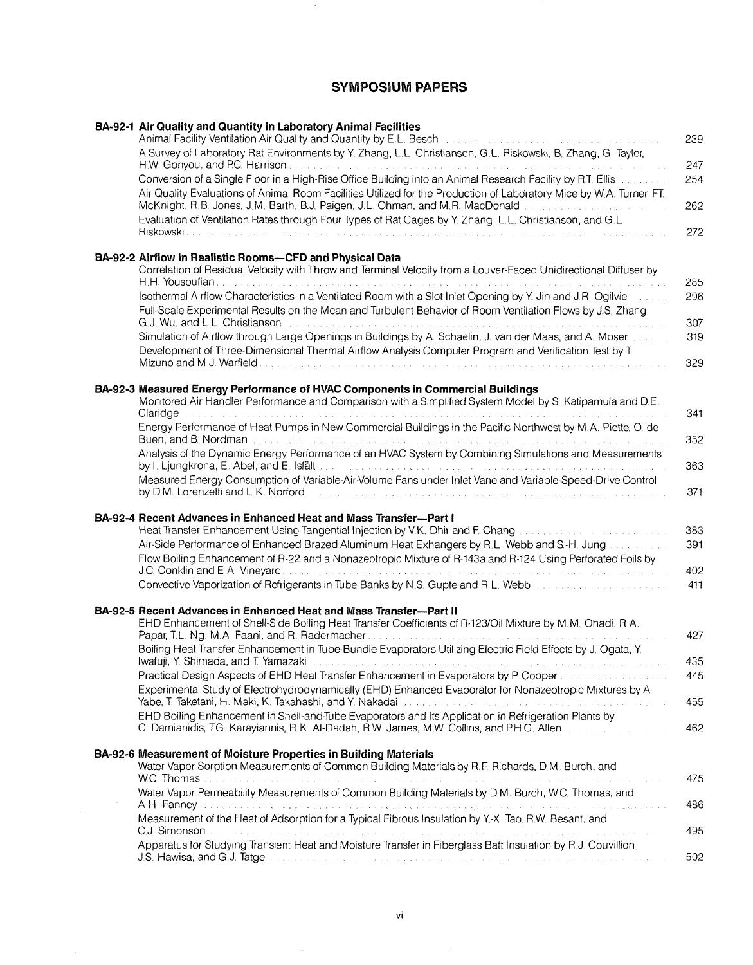## **SYMPOSIUM PAPERS**

 $\sim$ 

| BA-92-1 Air Quality and Quantity in Laboratory Animal Facilities<br>Animal Facility Ventilation Air Quality and Quantity by E.L. Besch and consumer an array of the United States                                                                                                             | 239        |
|-----------------------------------------------------------------------------------------------------------------------------------------------------------------------------------------------------------------------------------------------------------------------------------------------|------------|
| A Survey of Laboratory Rat Environments by Y. Zhang, L.L. Christianson, G.L. Riskowski, B. Zhang, G. Taylor,<br>H.W. Gonyou, and P.C. Harrison, we can consider the contract of the constraint of the constraints of the constr                                                               | 247        |
| Conversion of a Single Floor in a High-Rise Office Building into an Animal Research Facility by R.T. Ellis [11] Linguan 1                                                                                                                                                                     | 254        |
| Air Quality Evaluations of Animal Room Facilities Utilized for the Production of Laboratory Mice by W.A. Turner, FT.<br>McKnight, R.B. Jones, J.M. Barth, B.J. Paigen, J.L. Ohman, and M.R. MacDonald                                                                                         | 262        |
| Evaluation of Ventilation Rates through Four Types of Rat Cages by Y. Zhang, L.L. Christianson, and G.L.                                                                                                                                                                                      | 272        |
| BA-92-2 Airflow in Realistic Rooms-CFD and Physical Data<br>Correlation of Residual Velocity with Throw and Terminal Velocity from a Louver-Faced Unidirectional Diffuser by<br>H.H. Yousoufian, where you are accessive to a conservative conservative and access to the conservative of the | 285        |
| Isothermal Airflow Characteristics in a Ventilated Room with a Slot Inlet Opening by Y. Jin and J.R. Ogilvie [1000]<br>Full-Scale Experimental Results on the Mean and Turbulent Behavior of Room Ventilation Flows by J.S. Zhang,                                                            | 296        |
| G.J. Wu, and L.L. Christianson<br>.<br>2000 - 2010 - 2020 - 2020 - 2020 - 2030 - 2030 - 2030 - 2040 - 2040 - 2040 - 2040 - 2040 - 2040 - 2040 - 2040<br>Simulation of Airflow through Large Openings in Buildings by A. Schaelin, J. van der Maas, and A. Moser [10, 10].                     | 307<br>319 |
| Development of Three-Dimensional Thermal Airflow Analysis Computer Program and Verification Test by T.                                                                                                                                                                                        | 329        |
| BA-92-3 Measured Energy Performance of HVAC Components in Commercial Buildings                                                                                                                                                                                                                |            |
| Monitored Air Handler Performance and Comparison with a Simplified System Model by S. Katipamula and D.E.<br>Claridge                                                                                                                                                                         | 341        |
| Energy Performance of Heat Pumps in New Commercial Buildings in the Pacific Northwest by M.A. Piette, O. de                                                                                                                                                                                   | 352        |
| Analysis of the Dynamic Energy Performance of an HVAC System by Combining Simulations and Measurements                                                                                                                                                                                        | 363        |
| Measured Energy Consumption of Variable-Air-Volume Fans under Inlet Vane and Variable-Speed-Drive Control                                                                                                                                                                                     | 371        |
| <b>BA-92-4 Recent Advances in Enhanced Heat and Mass Transfer--Part I</b>                                                                                                                                                                                                                     |            |
| Heat Transfer Enhancement Using Tangential Injection by V.K. Dhir and F. Chang [11] Allen Lines Lines Lines Li<br>Air-Side Performance of Enhanced Brazed Aluminum Heat Exhangers by R.L. Webb and S.H. Jung Concerning                                                                       | 383<br>391 |
| Flow Boiling Enhancement of R-22 and a Nonazeotropic Mixture of R-143a and R-124 Using Perforated Foils by                                                                                                                                                                                    | 402        |
| Convective Vaporization of Refrigerants in Tube Banks by N.S. Gupte and R.L. Webb [11] Convective Vaporization of Refrigerants in Tube Banks by N.S. Gupte and R.L. Webb [11] Convertision of the State of the Banks and the S                                                                | 411        |
| BA-92-5 Recent Advances in Enhanced Heat and Mass Transfer-Part II                                                                                                                                                                                                                            |            |
| EHD Enhancement of Shell-Side Boiling Heat Transfer Coefficients of R-123/Oil Mixture by M.M. Ohadi, R.A.                                                                                                                                                                                     | 427        |
| Boiling Heat Transfer Enhancement in Tube-Bundle Evaporators Utilizing Electric Field Effects by J. Ogata, Y.                                                                                                                                                                                 | 435        |
| Practical Design Aspects of EHD Heat Transfer Enhancement in Evaporators by P. Cooper (and according the condition<br>Experimental Study of Electrohydrodynamically (EHD) Enhanced Evaporator for Nonazeotropic Mixtures by A                                                                 | 445        |
| Yabe, T. Taketani, H. Maki, K. Takahashi, and Y. Nakadai<br>المستقبل والمستقبل والوالو المتعاشي الرائي المتعاشر التي عاط المتعالى والمتعاط والوالم المتعالي والرائي                                                                                                                           | 455        |
| EHD Boiling Enhancement in Shell-and-Tube Evaporators and Its Application in Refrigeration Plants by<br>C. Damianidis, TG. Karayiannis, R.K. Al-Dadah, R.W. James, M.W. Collins, and P.H.G. Allen                                                                                             | 462        |
| BA-92-6 Measurement of Moisture Properties in Building Materials                                                                                                                                                                                                                              |            |
| Water Vapor Sorption Measurements of Common Building Materials by R.F. Richards, D.M. Burch, and<br><b>W.C. Thomas</b>                                                                                                                                                                        | 475        |
| Water Vapor Permeability Measurements of Common Building Materials by D.M. Burch, W.C. Thomas, and                                                                                                                                                                                            | 486        |
| Measurement of the Heat of Adsorption for a Typical Fibrous Insulation by Y-X Tao, R.W. Besant, and<br>C.J. Simonson                                                                                                                                                                          | 495        |
| Apparatus for Studying Transient Heat and Moisture Transfer in Fiberglass Batt Insulation by R J. Couvillion.<br>J.S. Hawisa, and G.J. Tatge and accountance and accountance and accountance and accountance and                                                                              | 502        |